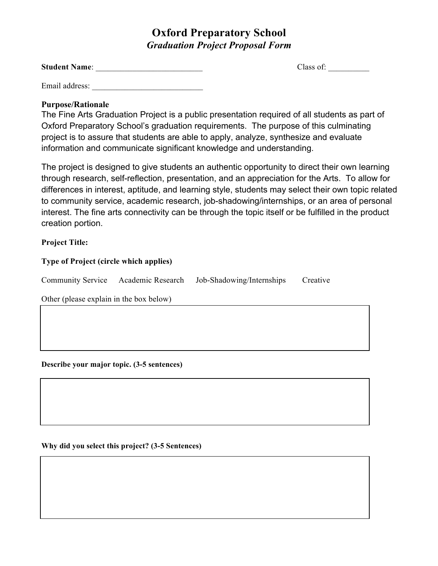## **Oxford Preparatory School** *Graduation Project Proposal Form*

| <b>Student Name:</b> |  |
|----------------------|--|
|                      |  |

Class of:

Email address:

### **Purpose/Rationale**

The Fine Arts Graduation Project is a public presentation required of all students as part of Oxford Preparatory School's graduation requirements. The purpose of this culminating project is to assure that students are able to apply, analyze, synthesize and evaluate information and communicate significant knowledge and understanding.

The project is designed to give students an authentic opportunity to direct their own learning through research, self-reflection, presentation, and an appreciation for the Arts. To allow for differences in interest, aptitude, and learning style, students may select their own topic related to community service, academic research, job-shadowing/internships, or an area of personal interest. The fine arts connectivity can be through the topic itself or be fulfilled in the product creation portion.

#### **Project Title:**

#### **Type of Project (circle which applies)**

Community Service Academic Research Job-Shadowing/Internships Creative

Other (please explain in the box below)

**Describe your major topic. (3-5 sentences)** 

**Why did you select this project? (3-5 Sentences)**